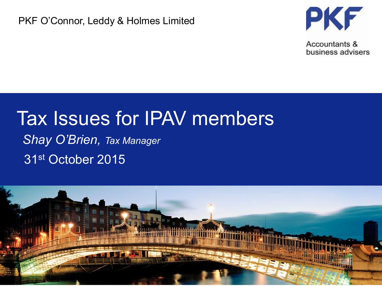#### PKF O'Connor, Leddy & Holmes Limited



Accountants & business advisers

# Tax Issues for IPAV members

31st October 2015 *Shay O'Brien, Tax Manager*

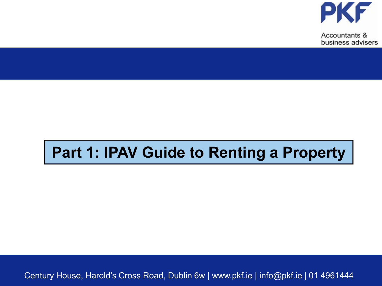

# **Part 1: IPAV Guide to Renting a Property**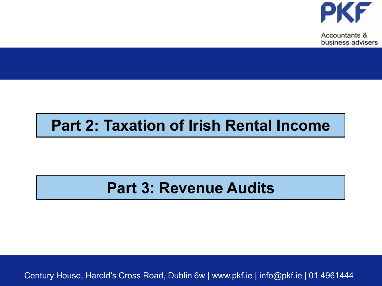

# **Part 2: Taxation of Irish Rental Income**

# **Part 3: Revenue Audits**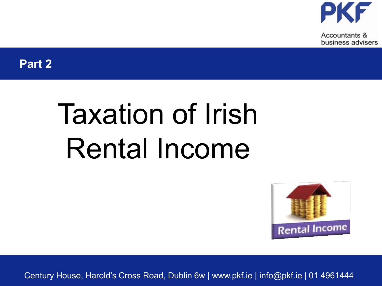

**Part 2**

# Taxation of Irish Rental Income

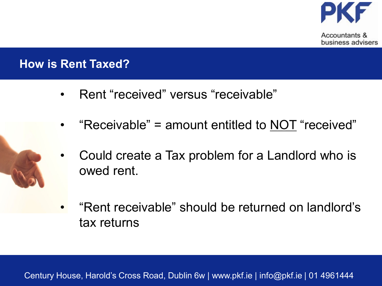

business advisers

**How is Rent Taxed?**

- Rent "received" versus "receivable"
- "Receivable" = amount entitled to NOT "received"
- Could create a Tax problem for a Landlord who is owed rent.



• "Rent receivable" should be returned on landlord's tax returns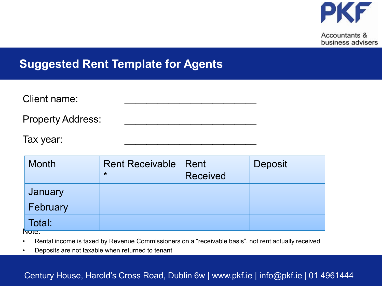

#### **Suggested Rent Template for Agents**

| Client name:             |  |
|--------------------------|--|
| <b>Property Address:</b> |  |
| Tax year:                |  |

| Month    | Rent Receivable   Rent<br>$\star$ | <b>Received</b> | Deposit |
|----------|-----------------------------------|-----------------|---------|
| January  |                                   |                 |         |
| February |                                   |                 |         |
| Total:   |                                   |                 |         |
| lνοτe.   |                                   |                 |         |

• Rental income is taxed by Revenue Commissioners on a "receivable basis", not rent actually received

• Deposits are not taxable when returned to tenant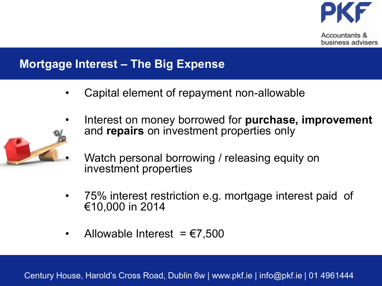

#### **Mortgage Interest – The Big Expense**

- Capital element of repayment non-allowable
- Interest on money borrowed for **purchase, improvement** and **repairs** on investment properties only



- Watch personal borrowing / releasing equity on investment properties
- 75% interest restriction e.g. mortgage interest paid of €10,000 in 2014
- Allowable Interest =  $\epsilon$ 7,500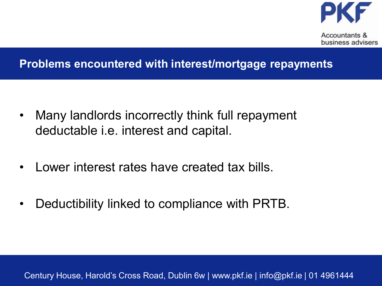

#### **Problems encountered with interest/mortgage repayments**

- Many landlords incorrectly think full repayment deductable i.e. interest and capital.
- Lower interest rates have created tax bills.
- Deductibility linked to compliance with PRTB.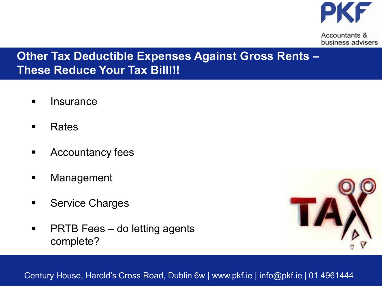

#### **Other Tax Deductible Expenses Against Gross Rents – These Reduce Your Tax Bill!!!**

- **Insurance**
- Rates
- **EXECOUNTER EXECUTE:**
- **Nanagement**
- **Service Charges**
- **PRTB Fees do letting agents** complete?

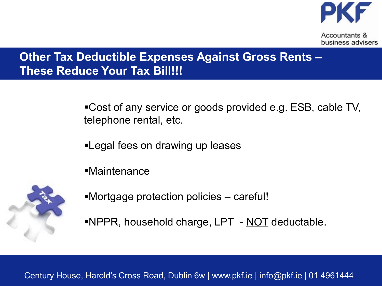

#### **Other Tax Deductible Expenses Against Gross Rents – These Reduce Your Tax Bill!!!**

Cost of any service or goods provided e.g. ESB, cable TV, telephone rental, etc.

- Legal fees on drawing up leases
- Maintenance



- Mortgage protection policies careful!
- NPPR, household charge, LPT NOT deductable.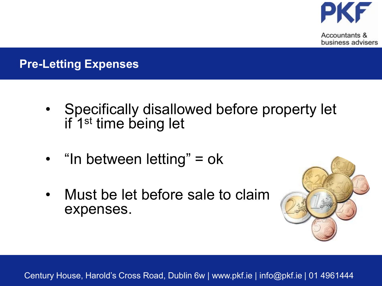

### **Pre-Letting Expenses**

- Specifically disallowed before property let if 1st time being let
- "In between letting" = ok
- Must be let before sale to claim expenses.

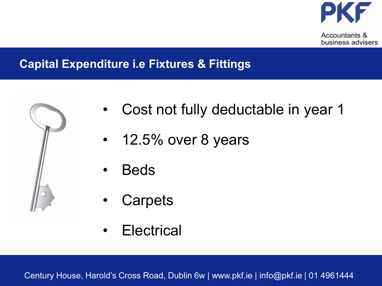

#### **Capital Expenditure i.e Fixtures & Fittings**



- Cost not fully deductable in year 1
- 12.5% over 8 years
- Beds
- **Carpets**
- Electrical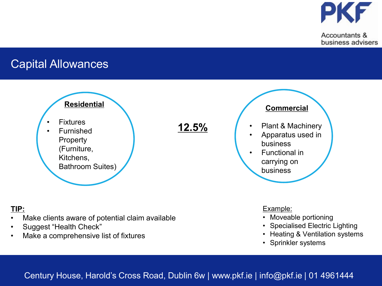

#### Capital Allowances



#### **TIP:**

- Make clients aware of potential claim available
- Suggest "Health Check"
- Make a comprehensive list of fixtures

#### Example:

- Moveable portioning
- Specialised Electric Lighting
- Heating & Ventilation systems
- Sprinkler systems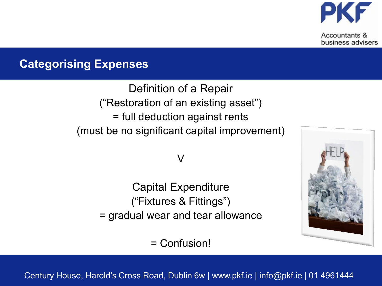

#### **Categorising Expenses**

Definition of a Repair ("Restoration of an existing asset") = full deduction against rents (must be no significant capital improvement)

 $\mathsf{V}$ 

Capital Expenditure ("Fixtures & Fittings") = gradual wear and tear allowance

= Confusion!

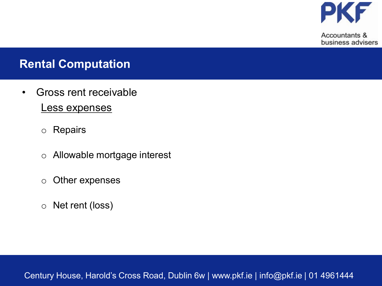

#### **Rental Computation**

- Gross rent receivable Less expenses
	- o Repairs
	- o Allowable mortgage interest
	- o Other expenses
	- o Net rent (loss)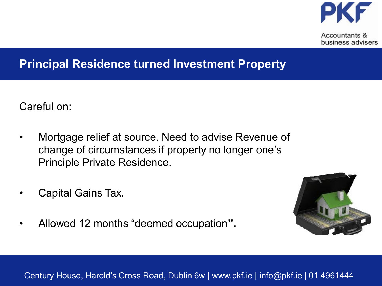

#### **Principal Residence turned Investment Property**

Careful on:

- Mortgage relief at source. Need to advise Revenue of change of circumstances if property no longer one's Principle Private Residence.
- Capital Gains Tax.
- Allowed 12 months "deemed occupation**".**

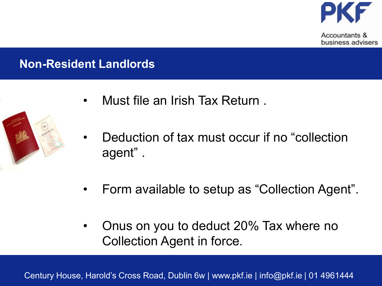

## **Non-Resident Landlords**



- Deduction of tax must occur if no "collection agent" .
- Form available to setup as "Collection Agent".
- Onus on you to deduct 20% Tax where no Collection Agent in force.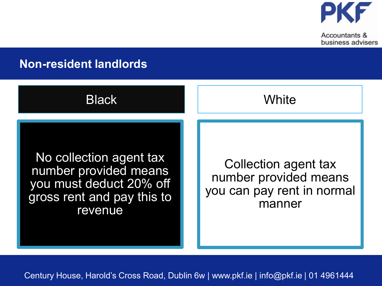

#### **Non-resident landlords**



No collection agent tax number provided means you must deduct 20% off gross rent and pay this to revenue

Collection agent tax number provided means you can pay rent in normal manner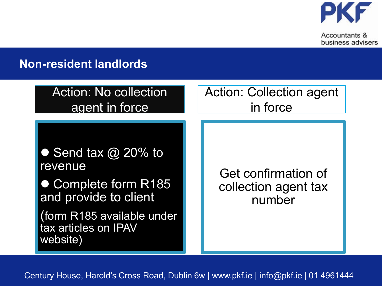

#### **Non-resident landlords**

| <b>Action: No collection</b>                                                                                                                             | <b>Action: Collection agent</b>                       |  |
|----------------------------------------------------------------------------------------------------------------------------------------------------------|-------------------------------------------------------|--|
| agent in force                                                                                                                                           | in force                                              |  |
| • Send tax $\omega$ 20% to<br>revenue<br>• Complete form R185<br>and provide to client<br>(form R185 available under<br>tax articles on IPAV<br>website) | Get confirmation of<br>collection agent tax<br>number |  |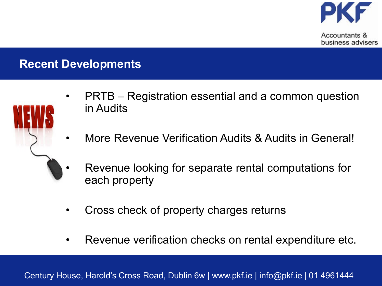

### **Recent Developments**



- PRTB Registration essential and a common question in Audits
- More Revenue Verification Audits & Audits in General!
- Revenue looking for separate rental computations for each property
- Cross check of property charges returns
- Revenue verification checks on rental expenditure etc.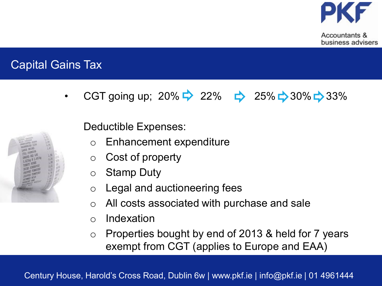

## Capital Gains Tax

CGT going up; 20%  $\Rightarrow$  22%  $\Rightarrow$  25%  $\Rightarrow$  30%  $\Rightarrow$  33%

Deductible Expenses:

- o Enhancement expenditure
- o Cost of property
- o Stamp Duty
- o Legal and auctioneering fees
- o All costs associated with purchase and sale
- o Indexation
- o Properties bought by end of 2013 & held for 7 years exempt from CGT (applies to Europe and EAA)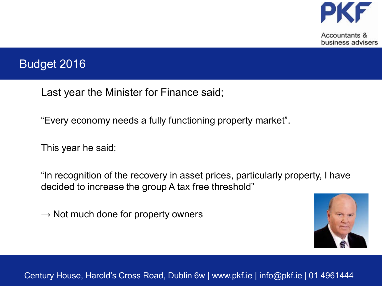

#### Budget 2016

Last year the Minister for Finance said;

"Every economy needs a fully functioning property market".

This year he said;

"In recognition of the recovery in asset prices, particularly property, I have decided to increase the group A tax free threshold"

 $\rightarrow$  Not much done for property owners

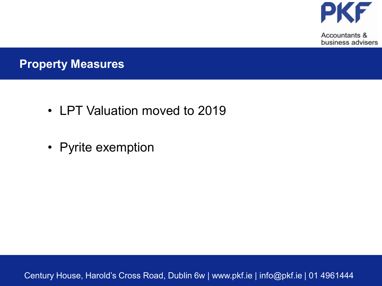

#### **Property Measures**

- LPT Valuation moved to 2019
- Pyrite exemption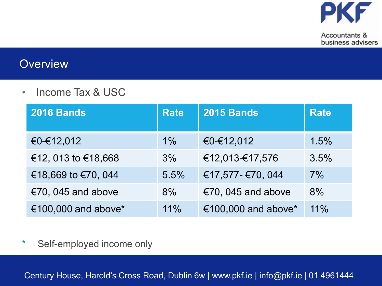

#### **Overview**

• Income Tax & USC

| <b>2016 Bands</b>   | <b>Rate</b> | <b>2015 Bands</b>   | <b>Rate</b> |
|---------------------|-------------|---------------------|-------------|
| €0-€12,012          | $1\%$       | €0-€12,012          | 1.5%        |
| €12, 013 to €18,668 | 3%          | €12,013-€17,576     | 3.5%        |
| €18,669 to €70, 044 | 5.5%        | €17,577-€70, 044    | 7%          |
| €70, 045 and above  | 8%          | €70, 045 and above  | 8%          |
| €100,000 and above* | 11%         | €100,000 and above* | 11%         |

\* Self-employed income only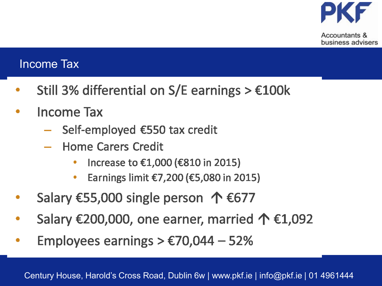

#### Income Tax

- Still 3% differential on S/E earnings >  $€100k$
- **Income Tax** 
	- Self-employed €550 tax credit
	- **Home Carers Credit** 
		- Increase to €1,000 (€810 in 2015) ۰
		- Earnings limit €7,200 (€5,080 in 2015) ۰
- Salary €55,000 single person  $\uparrow$  €677
- Salary €200,000, one earner, married  $\uparrow$  €1,092
- Employees earnings  $> \text{\textsterling}70,044 52\%$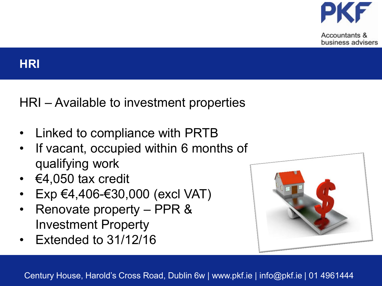

#### **HRI**

HRI – Available to investment properties

- Linked to compliance with PRTB
- If vacant, occupied within 6 months of qualifying work
- €4,050 tax credit
- Exp €4,406-€30,000 (excl VAT)
- Renovate property PPR & Investment Property
- Extended to 31/12/16

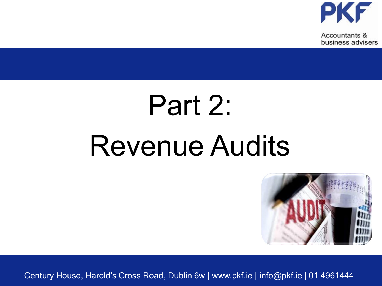

# Part 2: Revenue Audits

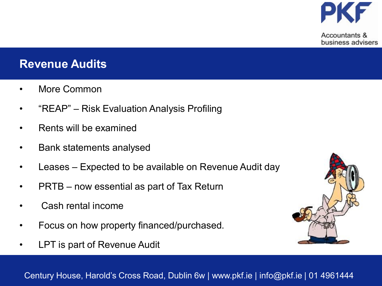

#### **Revenue Audits**

- More Common
- "REAP" Risk Evaluation Analysis Profiling
- Rents will be examined
- Bank statements analysed
- Leases Expected to be available on Revenue Audit day
- PRTB now essential as part of Tax Return
- Cash rental income
- Focus on how property financed/purchased.
- LPT is part of Revenue Audit

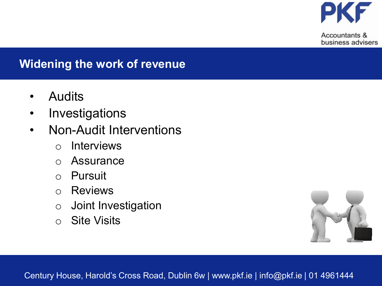

## **Widening the work of revenue**

- Audits
- **Investigations**
- Non-Audit Interventions
	- o Interviews
	- o Assurance
	- o Pursuit
	- o Reviews
	- o Joint Investigation
	- o Site Visits

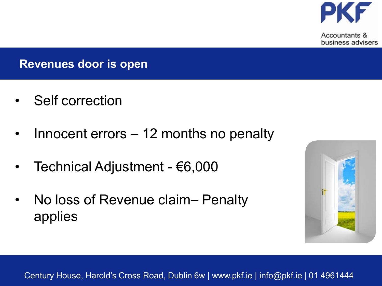

#### **Revenues door is open**

- Self correction
- Innocent errors 12 months no penalty
- Technical Adjustment €6,000
- No loss of Revenue claim– Penalty applies

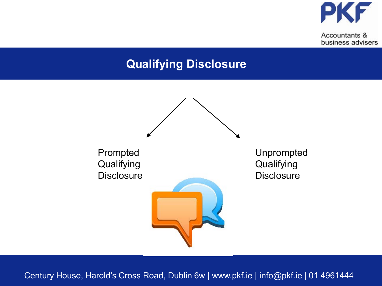

#### **Qualifying Disclosure**

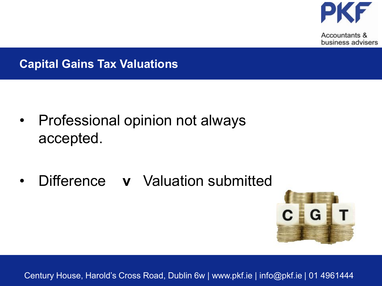

#### **Capital Gains Tax Valuations**

- Professional opinion not always accepted.
- Difference **v** Valuation submitted

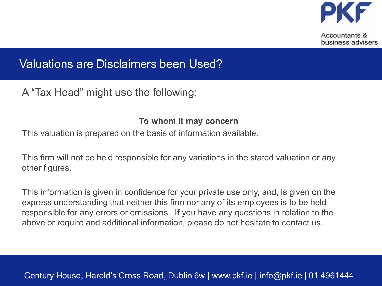

#### Valuations are Disclaimers been Used?

A "Tax Head" might use the following:

#### **To whom it may concern**

This valuation is prepared on the basis of information available.

This firm will not be held responsible for any variations in the stated valuation or any other figures.

This information is given in confidence for your private use only, and, is given on the express understanding that neither this firm nor any of its employees is to be held responsible for any errors or omissions. If you have any questions in relation to the above or require and additional information, please do not hesitate to contact us.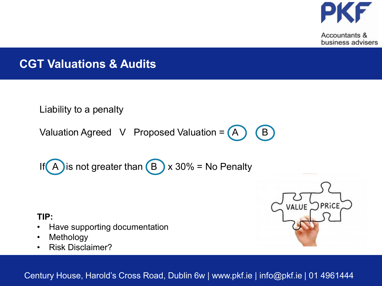

### **CGT Valuations & Audits**

Liability to a penalty

Valuation Agreed V Proposed Valuation =  $(A)$   $(B)$ 

If 
$$
\overline{A}
$$
 is not greater than  $\overline{B}$  x 30% = No Penalty

#### **TIP:**

- Have supporting documentation
- Methology
- Risk Disclaimer?

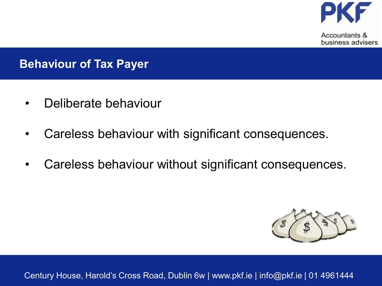

#### **Behaviour of Tax Payer**

- Deliberate behaviour
- Careless behaviour with significant consequences.
- Careless behaviour without significant consequences.

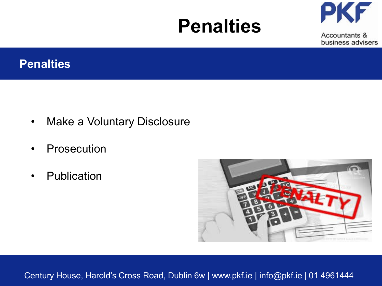# **Penalties**



Accountants & business advisers

#### **Penalties**

- Make a Voluntary Disclosure
- **Prosecution**
- Publication

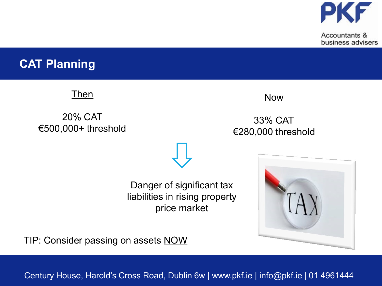

#### **CAT Planning**

**Then** 

20% CAT €500,000+ threshold



33% CAT €280,000 threshold

Danger of significant tax liabilities in rising property price market



TIP: Consider passing on assets NOW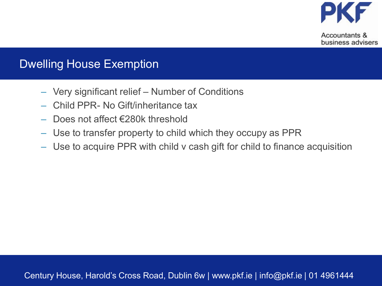

#### Dwelling House Exemption

- Very significant relief Number of Conditions
- Child PPR- No Gift/inheritance tax
- Does not affect €280k threshold
- Use to transfer property to child which they occupy as PPR
- Use to acquire PPR with child v cash gift for child to finance acquisition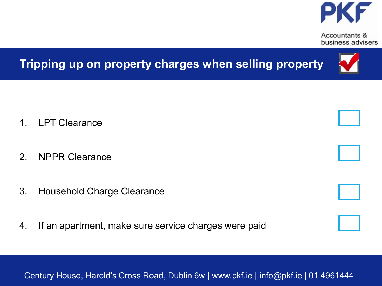

# **Tripping up on property charges when selling property**

- 1. LPT Clearance
- 2. NPPR Clearance
- 3. Household Charge Clearance
- 4. If an apartment, make sure service charges were paid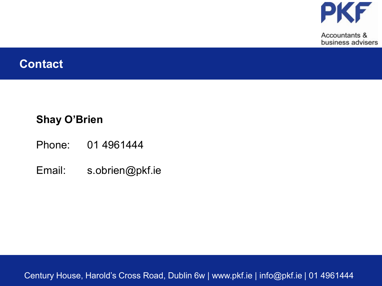

#### **Contact**

#### **Shay O'Brien**

- Phone: 01 4961444
- Email: s.obrien@pkf.ie